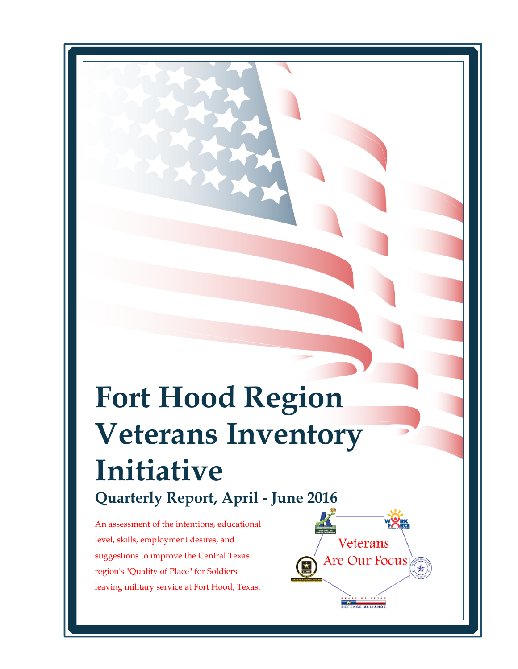# **Fort Hood Region Veterans Inventory Initiative Quarterly Report, April - June 2016**

An assessment of the intentions, educational level, skills, employment desires, and suggestions to improve the Central Texas region's "Quality of Place" for Soldiers leaving military service at Fort Hood, Texas. 

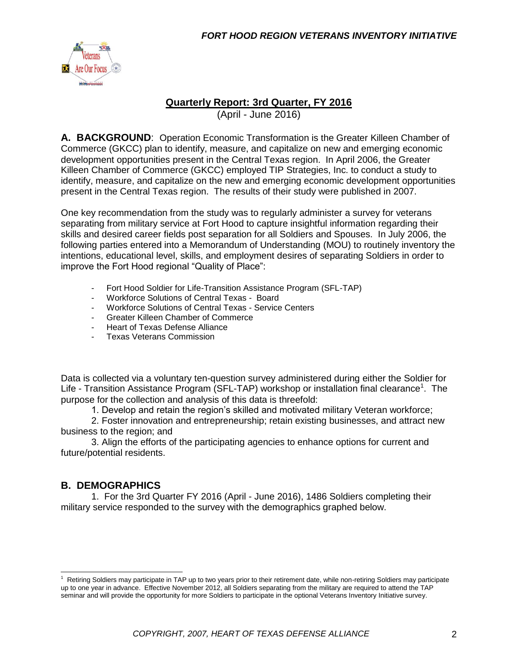

#### **Quarterly Report: 3rd Quarter, FY 2016**

(April - June 2016)

**A. BACKGROUND**: Operation Economic Transformation is the Greater Killeen Chamber of Commerce (GKCC) plan to identify, measure, and capitalize on new and emerging economic development opportunities present in the Central Texas region. In April 2006, the Greater Killeen Chamber of Commerce (GKCC) employed TIP Strategies, Inc. to conduct a study to identify, measure, and capitalize on the new and emerging economic development opportunities present in the Central Texas region. The results of their study were published in 2007.

One key recommendation from the study was to regularly administer a survey for veterans separating from military service at Fort Hood to capture insightful information regarding their skills and desired career fields post separation for all Soldiers and Spouses. In July 2006, the following parties entered into a Memorandum of Understanding (MOU) to routinely inventory the intentions, educational level, skills, and employment desires of separating Soldiers in order to improve the Fort Hood regional "Quality of Place":

- Fort Hood Soldier for Life-Transition Assistance Program (SFL-TAP)
- Workforce Solutions of Central Texas Board
- Workforce Solutions of Central Texas Service Centers
- Greater Killeen Chamber of Commerce
- Heart of Texas Defense Alliance
- Texas Veterans Commission

Data is collected via a voluntary ten-question survey administered during either the Soldier for Life - Transition Assistance Program (SFL-TAP) workshop or installation final clearance<sup>1</sup>. The purpose for the collection and analysis of this data is threefold:

1. Develop and retain the region's skilled and motivated military Veteran workforce;

2. Foster innovation and entrepreneurship; retain existing businesses, and attract new business to the region; and

3. Align the efforts of the participating agencies to enhance options for current and future/potential residents.

#### **B. DEMOGRAPHICS**

1. For the 3rd Quarter FY 2016 (April - June 2016), 1486 Soldiers completing their military service responded to the survey with the demographics graphed below.

 $1$  Retiring Soldiers may participate in TAP up to two years prior to their retirement date, while non-retiring Soldiers may participate up to one year in advance. Effective November 2012, all Soldiers separating from the military are required to attend the TAP seminar and will provide the opportunity for more Soldiers to participate in the optional Veterans Inventory Initiative survey.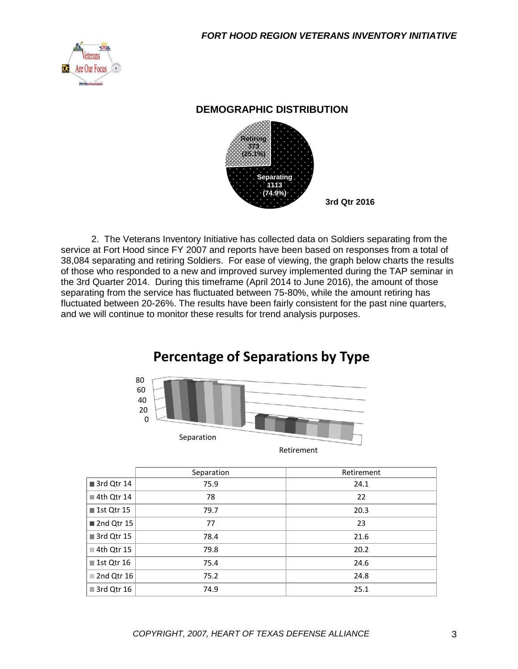

#### **DEMOGRAPHIC DISTRIBUTION**



2. The Veterans Inventory Initiative has collected data on Soldiers separating from the service at Fort Hood since FY 2007 and reports have been based on responses from a total of 38,084 separating and retiring Soldiers. For ease of viewing, the graph below charts the results of those who responded to a new and improved survey implemented during the TAP seminar in the 3rd Quarter 2014. During this timeframe (April 2014 to June 2016), the amount of those separating from the service has fluctuated between 75-80%, while the amount retiring has fluctuated between 20-26%. The results have been fairly consistent for the past nine quarters, and we will continue to monitor these results for trend analysis purposes.

# **Percentage of Separations by Type**



| Retirement |  |
|------------|--|
|            |  |

|                           | Separation | Retirement |
|---------------------------|------------|------------|
| 3rd Qtr 14                | 75.9       | 24.1       |
| 4th Qtr 14                | 78         | 22         |
| ■ 1st Qtr 15              | 79.7       | 20.3       |
| 2nd Qtr 15                | 77         | 23         |
| 3rd Qtr 15                | 78.4       | 21.6       |
| ■ 4th Qtr 15              | 79.8       | 20.2       |
| 1st Qtr 16                | 75.4       | 24.6       |
| $\blacksquare$ 2nd Qtr 16 | 75.2       | 24.8       |
| ■ 3rd Qtr 16              | 74.9       | 25.1       |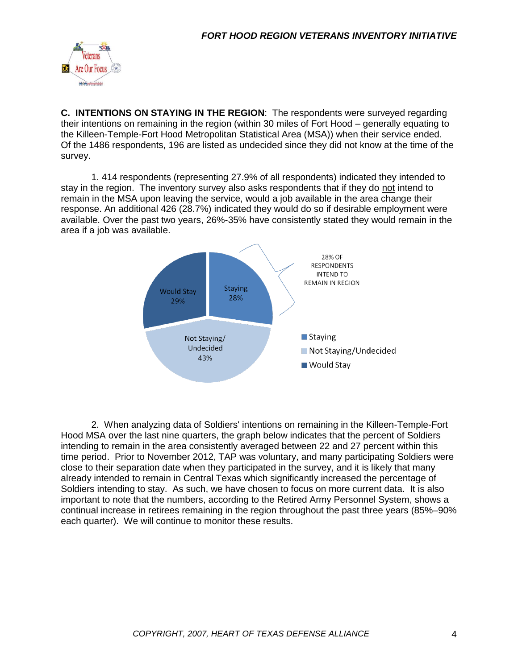

**C. INTENTIONS ON STAYING IN THE REGION**: The respondents were surveyed regarding their intentions on remaining in the region (within 30 miles of Fort Hood – generally equating to the Killeen-Temple-Fort Hood Metropolitan Statistical Area (MSA)) when their service ended. Of the 1486 respondents, 196 are listed as undecided since they did not know at the time of the survey.

1. 414 respondents (representing 27.9% of all respondents) indicated they intended to stay in the region. The inventory survey also asks respondents that if they do not intend to remain in the MSA upon leaving the service, would a job available in the area change their response. An additional 426 (28.7%) indicated they would do so if desirable employment were available. Over the past two years, 26%-35% have consistently stated they would remain in the area if a job was available.



2. When analyzing data of Soldiers' intentions on remaining in the Killeen-Temple-Fort Hood MSA over the last nine quarters, the graph below indicates that the percent of Soldiers intending to remain in the area consistently averaged between 22 and 27 percent within this time period. Prior to November 2012, TAP was voluntary, and many participating Soldiers were close to their separation date when they participated in the survey, and it is likely that many already intended to remain in Central Texas which significantly increased the percentage of Soldiers intending to stay. As such, we have chosen to focus on more current data. It is also important to note that the numbers, according to the Retired Army Personnel System, shows a continual increase in retirees remaining in the region throughout the past three years (85%–90% each quarter). We will continue to monitor these results.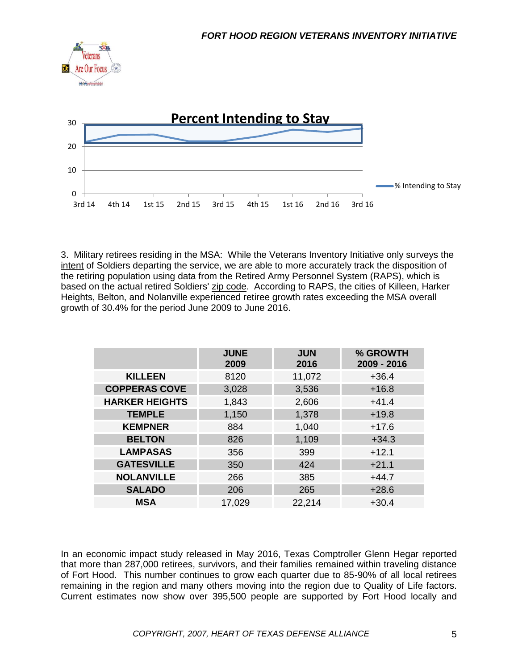



3. Military retirees residing in the MSA: While the Veterans Inventory Initiative only surveys the intent of Soldiers departing the service, we are able to more accurately track the disposition of the retiring population using data from the Retired Army Personnel System (RAPS), which is based on the actual retired Soldiers' zip code. According to RAPS, the cities of Killeen, Harker Heights, Belton, and Nolanville experienced retiree growth rates exceeding the MSA overall growth of 30.4% for the period June 2009 to June 2016.

|                       | <b>JUNE</b><br>2009 | <b>JUN</b><br>2016 | % GROWTH<br>2009 - 2016 |
|-----------------------|---------------------|--------------------|-------------------------|
| <b>KILLEEN</b>        | 8120                | 11,072             | $+36.4$                 |
| <b>COPPERAS COVE</b>  | 3,028               | 3,536              | $+16.8$                 |
| <b>HARKER HEIGHTS</b> | 1,843               | 2,606              | $+41.4$                 |
| <b>TEMPLE</b>         | 1,150               | 1,378              | $+19.8$                 |
| <b>KEMPNER</b>        | 884                 | 1,040              | $+17.6$                 |
| <b>BELTON</b>         | 826                 | 1,109              | $+34.3$                 |
| <b>LAMPASAS</b>       | 356                 | 399                | $+12.1$                 |
| <b>GATESVILLE</b>     | 350                 | 424                | $+21.1$                 |
| <b>NOLANVILLE</b>     | 266                 | 385                | $+44.7$                 |
| <b>SALADO</b>         | 206                 | 265                | $+28.6$                 |
| <b>MSA</b>            | 17,029              | 22,214             | $+30.4$                 |

In an economic impact study released in May 2016, Texas Comptroller Glenn Hegar reported that more than 287,000 retirees, survivors, and their families remained within traveling distance of Fort Hood. This number continues to grow each quarter due to 85-90% of all local retirees remaining in the region and many others moving into the region due to Quality of Life factors. Current estimates now show over 395,500 people are supported by Fort Hood locally and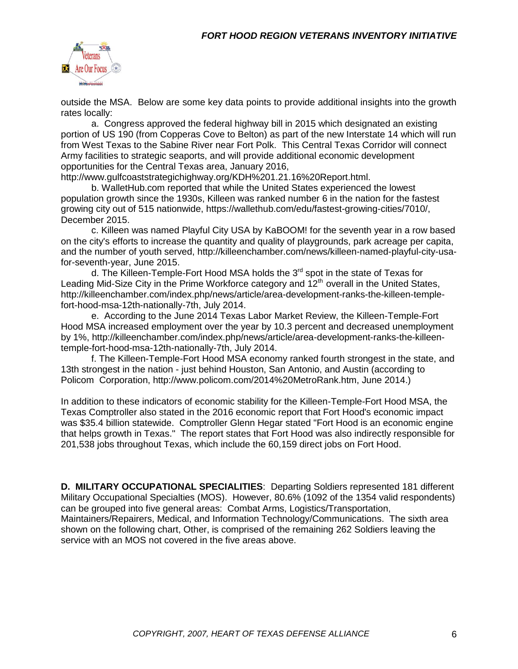

outside the MSA. Below are some key data points to provide additional insights into the growth rates locally:

a. Congress approved the federal highway bill in 2015 which designated an existing portion of US 190 (from Copperas Cove to Belton) as part of the new Interstate 14 which will run from West Texas to the Sabine River near Fort Polk. This Central Texas Corridor will connect Army facilities to strategic seaports, and will provide additional economic development opportunities for the Central Texas area, January 2016,

http://www.gulfcoaststrategichighway.org/KDH%201.21.16%20Report.html.

b. WalletHub.com reported that while the United States experienced the lowest population growth since the 1930s, Killeen was ranked number 6 in the nation for the fastest growing city out of 515 nationwide, https://wallethub.com/edu/fastest-growing-cities/7010/, December 2015.

c. Killeen was named Playful City USA by KaBOOM! for the seventh year in a row based on the city's efforts to increase the quantity and quality of playgrounds, park acreage per capita, and the number of youth served, http://killeenchamber.com/news/killeen-named-playful-city-usafor-seventh-year, June 2015.

d. The Killeen-Temple-Fort Hood MSA holds the  $3<sup>rd</sup>$  spot in the state of Texas for Leading Mid-Size City in the Prime Workforce category and  $12<sup>th</sup>$  overall in the United States, http://killeenchamber.com/index.php/news/article/area-development-ranks-the-killeen-templefort-hood-msa-12th-nationally-7th, July 2014.

e. According to the June 2014 Texas Labor Market Review, the Killeen-Temple-Fort Hood MSA increased employment over the year by 10.3 percent and decreased unemployment by 1%, http://killeenchamber.com/index.php/news/article/area-development-ranks-the-killeentemple-fort-hood-msa-12th-nationally-7th, July 2014.

f. The Killeen-Temple-Fort Hood MSA economy ranked fourth strongest in the state, and 13th strongest in the nation - just behind Houston, San Antonio, and Austin (according to Policom Corporation, http://www.policom.com/2014%20MetroRank.htm, June 2014.)

In addition to these indicators of economic stability for the Killeen-Temple-Fort Hood MSA, the Texas Comptroller also stated in the 2016 economic report that Fort Hood's economic impact was \$35.4 billion statewide. Comptroller Glenn Hegar stated "Fort Hood is an economic engine that helps growth in Texas." The report states that Fort Hood was also indirectly responsible for 201,538 jobs throughout Texas, which include the 60,159 direct jobs on Fort Hood.

**D. MILITARY OCCUPATIONAL SPECIALITIES**: Departing Soldiers represented 181 different Military Occupational Specialties (MOS). However, 80.6% (1092 of the 1354 valid respondents) can be grouped into five general areas: Combat Arms, Logistics/Transportation, Maintainers/Repairers, Medical, and Information Technology/Communications. The sixth area shown on the following chart, Other, is comprised of the remaining 262 Soldiers leaving the service with an MOS not covered in the five areas above.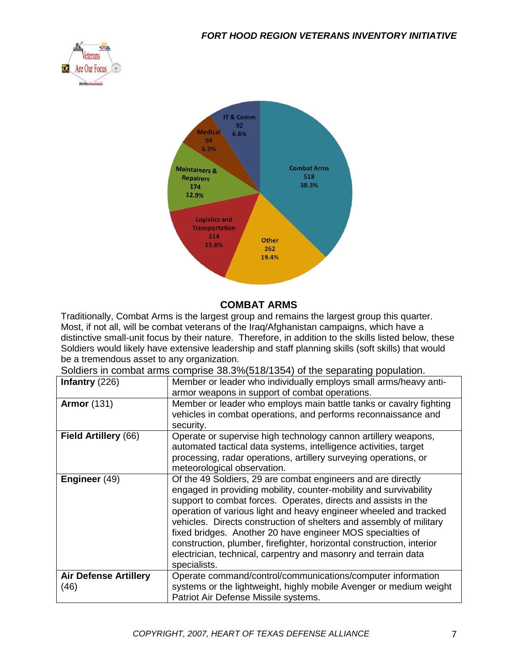



#### **COMBAT ARMS**

Traditionally, Combat Arms is the largest group and remains the largest group this quarter. Most, if not all, will be combat veterans of the Iraq/Afghanistan campaigns, which have a distinctive small-unit focus by their nature. Therefore, in addition to the skills listed below, these Soldiers would likely have extensive leadership and staff planning skills (soft skills) that would be a tremendous asset to any organization.

Soldiers in combat arms comprise 38.3%(518/1354) of the separating population.

| Infantry (226)                       | Member or leader who individually employs small arms/heavy anti-<br>armor weapons in support of combat operations.                                                                                                                                                                                                                                                                                                                                                                                                                                                       |
|--------------------------------------|--------------------------------------------------------------------------------------------------------------------------------------------------------------------------------------------------------------------------------------------------------------------------------------------------------------------------------------------------------------------------------------------------------------------------------------------------------------------------------------------------------------------------------------------------------------------------|
| <b>Armor</b> (131)                   | Member or leader who employs main battle tanks or cavalry fighting<br>vehicles in combat operations, and performs reconnaissance and<br>security.                                                                                                                                                                                                                                                                                                                                                                                                                        |
| Field Artillery (66)                 | Operate or supervise high technology cannon artillery weapons,<br>automated tactical data systems, intelligence activities, target<br>processing, radar operations, artillery surveying operations, or<br>meteorological observation.                                                                                                                                                                                                                                                                                                                                    |
| Engineer (49)                        | Of the 49 Soldiers, 29 are combat engineers and are directly<br>engaged in providing mobility, counter-mobility and survivability<br>support to combat forces. Operates, directs and assists in the<br>operation of various light and heavy engineer wheeled and tracked<br>vehicles. Directs construction of shelters and assembly of military<br>fixed bridges. Another 20 have engineer MOS specialties of<br>construction, plumber, firefighter, horizontal construction, interior<br>electrician, technical, carpentry and masonry and terrain data<br>specialists. |
| <b>Air Defense Artillery</b><br>(46) | Operate command/control/communications/computer information<br>systems or the lightweight, highly mobile Avenger or medium weight<br>Patriot Air Defense Missile systems.                                                                                                                                                                                                                                                                                                                                                                                                |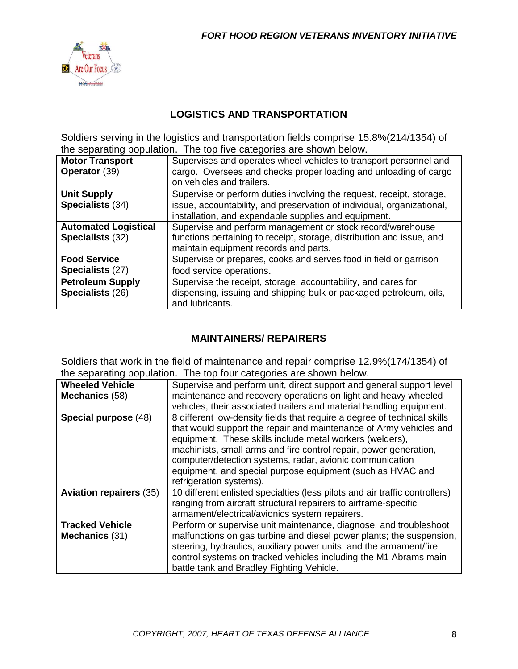

### **LOGISTICS AND TRANSPORTATION**

Soldiers serving in the logistics and transportation fields comprise 15.8%(214/1354) of the separating population. The top five categories are shown below.

| <b>Motor Transport</b><br><b>Operator (39)</b>  | Supervises and operates wheel vehicles to transport personnel and<br>cargo. Oversees and checks proper loading and unloading of cargo<br>on vehicles and trailers.                                     |
|-------------------------------------------------|--------------------------------------------------------------------------------------------------------------------------------------------------------------------------------------------------------|
| <b>Unit Supply</b><br>Specialists (34)          | Supervise or perform duties involving the request, receipt, storage,<br>issue, accountability, and preservation of individual, organizational,<br>installation, and expendable supplies and equipment. |
| <b>Automated Logistical</b><br>Specialists (32) | Supervise and perform management or stock record/warehouse<br>functions pertaining to receipt, storage, distribution and issue, and<br>maintain equipment records and parts.                           |
| <b>Food Service</b><br>Specialists (27)         | Supervise or prepares, cooks and serves food in field or garrison<br>food service operations.                                                                                                          |
| <b>Petroleum Supply</b><br>Specialists (26)     | Supervise the receipt, storage, accountability, and cares for<br>dispensing, issuing and shipping bulk or packaged petroleum, oils,<br>and lubricants.                                                 |

# **MAINTAINERS/ REPAIRERS**

Soldiers that work in the field of maintenance and repair comprise 12.9%(174/1354) of the separating population. The top four categories are shown below.

|                                | are coparating population. The top four categories are chown bolow.         |
|--------------------------------|-----------------------------------------------------------------------------|
| <b>Wheeled Vehicle</b>         | Supervise and perform unit, direct support and general support level        |
| Mechanics (58)                 | maintenance and recovery operations on light and heavy wheeled              |
|                                | vehicles, their associated trailers and material handling equipment.        |
| Special purpose (48)           | 8 different low-density fields that require a degree of technical skills    |
|                                | that would support the repair and maintenance of Army vehicles and          |
|                                | equipment. These skills include metal workers (welders),                    |
|                                | machinists, small arms and fire control repair, power generation,           |
|                                | computer/detection systems, radar, avionic communication                    |
|                                | equipment, and special purpose equipment (such as HVAC and                  |
|                                | refrigeration systems).                                                     |
| <b>Aviation repairers (35)</b> | 10 different enlisted specialties (less pilots and air traffic controllers) |
|                                | ranging from aircraft structural repairers to airframe-specific             |
|                                | armament/electrical/avionics system repairers.                              |
| <b>Tracked Vehicle</b>         | Perform or supervise unit maintenance, diagnose, and troubleshoot           |
| Mechanics (31)                 | malfunctions on gas turbine and diesel power plants; the suspension,        |
|                                | steering, hydraulics, auxiliary power units, and the armament/fire          |
|                                | control systems on tracked vehicles including the M1 Abrams main            |
|                                | battle tank and Bradley Fighting Vehicle.                                   |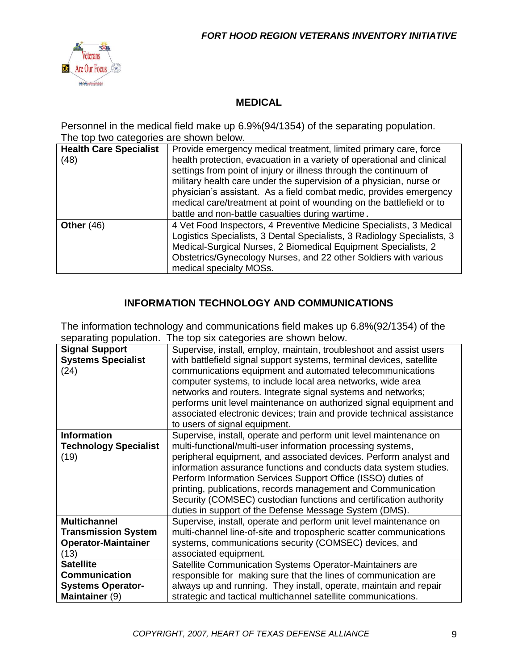

# **MEDICAL**

Personnel in the medical field make up 6.9%(94/1354) of the separating population. The top two categories are shown below.

| <b>Health Care Specialist</b><br>(48) | Provide emergency medical treatment, limited primary care, force<br>health protection, evacuation in a variety of operational and clinical<br>settings from point of injury or illness through the continuum of<br>military health care under the supervision of a physician, nurse or<br>physician's assistant. As a field combat medic, provides emergency<br>medical care/treatment at point of wounding on the battlefield or to |
|---------------------------------------|--------------------------------------------------------------------------------------------------------------------------------------------------------------------------------------------------------------------------------------------------------------------------------------------------------------------------------------------------------------------------------------------------------------------------------------|
| Other $(46)$                          | battle and non-battle casualties during wartime.<br>4 Vet Food Inspectors, 4 Preventive Medicine Specialists, 3 Medical<br>Logistics Specialists, 3 Dental Specialists, 3 Radiology Specialists, 3<br>Medical-Surgical Nurses, 2 Biomedical Equipment Specialists, 2<br>Obstetrics/Gynecology Nurses, and 22 other Soldiers with various<br>medical specialty MOSs.                                                                  |

# **INFORMATION TECHNOLOGY AND COMMUNICATIONS**

The information technology and communications field makes up 6.8%(92/1354) of the separating population. The top six categories are shown below.

| <b>Signal Support</b>        | Supervise, install, employ, maintain, troubleshoot and assist users   |
|------------------------------|-----------------------------------------------------------------------|
| <b>Systems Specialist</b>    | with battlefield signal support systems, terminal devices, satellite  |
| (24)                         | communications equipment and automated telecommunications             |
|                              |                                                                       |
|                              | computer systems, to include local area networks, wide area           |
|                              | networks and routers. Integrate signal systems and networks;          |
|                              | performs unit level maintenance on authorized signal equipment and    |
|                              | associated electronic devices; train and provide technical assistance |
|                              | to users of signal equipment.                                         |
| <b>Information</b>           | Supervise, install, operate and perform unit level maintenance on     |
| <b>Technology Specialist</b> | multi-functional/multi-user information processing systems,           |
| (19)                         | peripheral equipment, and associated devices. Perform analyst and     |
|                              | information assurance functions and conducts data system studies.     |
|                              | Perform Information Services Support Office (ISSO) duties of          |
|                              | printing, publications, records management and Communication          |
|                              | Security (COMSEC) custodian functions and certification authority     |
|                              | duties in support of the Defense Message System (DMS).                |
| <b>Multichannel</b>          | Supervise, install, operate and perform unit level maintenance on     |
| <b>Transmission System</b>   | multi-channel line-of-site and tropospheric scatter communications    |
| <b>Operator-Maintainer</b>   | systems, communications security (COMSEC) devices, and                |
| (13)                         | associated equipment.                                                 |
| <b>Satellite</b>             | Satellite Communication Systems Operator-Maintainers are              |
|                              |                                                                       |
| <b>Communication</b>         | responsible for making sure that the lines of communication are       |
| <b>Systems Operator-</b>     | always up and running. They install, operate, maintain and repair     |
| Maintainer (9)               | strategic and tactical multichannel satellite communications.         |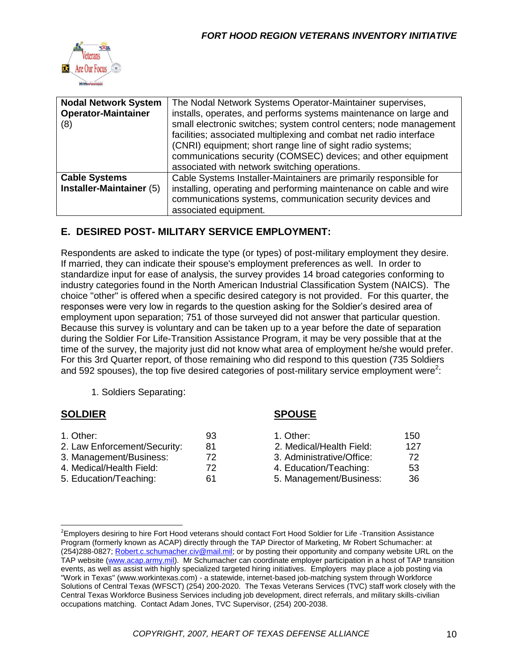

| <b>Nodal Network System</b><br><b>Operator-Maintainer</b><br>(8) | The Nodal Network Systems Operator-Maintainer supervises,<br>installs, operates, and performs systems maintenance on large and<br>small electronic switches; system control centers; node management<br>facilities; associated multiplexing and combat net radio interface<br>(CNRI) equipment; short range line of sight radio systems;<br>communications security (COMSEC) devices; and other equipment<br>associated with network switching operations. |
|------------------------------------------------------------------|------------------------------------------------------------------------------------------------------------------------------------------------------------------------------------------------------------------------------------------------------------------------------------------------------------------------------------------------------------------------------------------------------------------------------------------------------------|
| <b>Cable Systems</b><br>Installer-Maintainer (5)                 | Cable Systems Installer-Maintainers are primarily responsible for<br>installing, operating and performing maintenance on cable and wire<br>communications systems, communication security devices and<br>associated equipment.                                                                                                                                                                                                                             |

### **E. DESIRED POST- MILITARY SERVICE EMPLOYMENT:**

Respondents are asked to indicate the type (or types) of post-military employment they desire. If married, they can indicate their spouse's employment preferences as well. In order to standardize input for ease of analysis, the survey provides 14 broad categories conforming to industry categories found in the North American Industrial Classification System (NAICS). The choice "other" is offered when a specific desired category is not provided. For this quarter, the responses were very low in regards to the question asking for the Soldier's desired area of employment upon separation; 751 of those surveyed did not answer that particular question. Because this survey is voluntary and can be taken up to a year before the date of separation during the Soldier For Life-Transition Assistance Program, it may be very possible that at the time of the survey, the majority just did not know what area of employment he/she would prefer. For this 3rd Quarter report, of those remaining who did respond to this question (735 Soldiers and 592 spouses), the top five desired categories of post-military service employment were<sup>2</sup>:

1. Soldiers Separating:

#### **SOLDIER SPOUSE** 1. Other: 150 2. Law Enforcement/Security: 81 2. Medical/Health Field: 127 3. Management/Business: 72 3. Administrative/Office: 72 4. Medical/Health Field: 72 4. Education/Teaching: 53 5. Education/Teaching: 61 5. Management/Business: 36

<sup>&</sup>lt;sup>2</sup>Employers desiring to hire Fort Hood veterans should contact Fort Hood Soldier for Life -Transition Assistance Program (formerly known as ACAP) directly through the TAP Director of Marketing, Mr Robert Schumacher: at (254)288-0827; [Robert.c.schumacher.civ@mail.mil;](mailto:Robert.c.schumacher.civ@mail.mil) or by posting their opportunity and company website URL on the TAP website [\(www.acap.army.mil\)](http://www.acap.army.mil/). Mr Schumacher can coordinate employer participation in a host of TAP transition events, as well as assist with highly specialized targeted hiring initiatives. Employers may place a job posting via "Work in Texas" (www.workintexas.com) - a statewide, internet-based job-matching system through Workforce Solutions of Central Texas (WFSCT) (254) 200-2020. The Texas Veterans Services (TVC) staff work closely with the Central Texas Workforce Business Services including job development, direct referrals, and military skills-civilian occupations matching. Contact Adam Jones, TVC Supervisor, (254) 200-2038.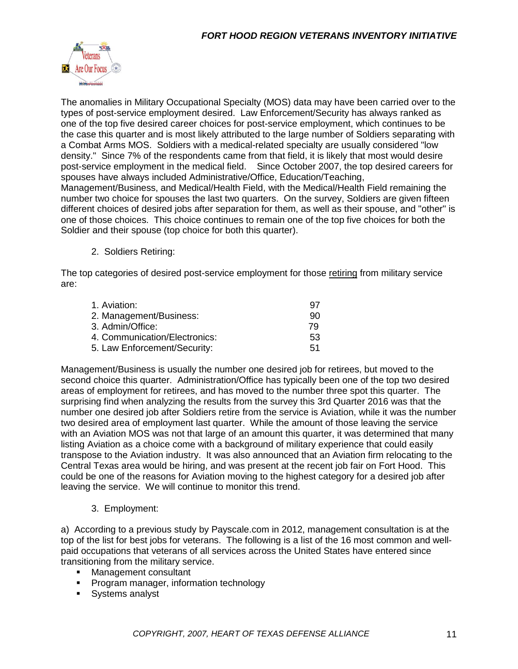

The anomalies in Military Occupational Specialty (MOS) data may have been carried over to the types of post-service employment desired. Law Enforcement/Security has always ranked as one of the top five desired career choices for post-service employment, which continues to be the case this quarter and is most likely attributed to the large number of Soldiers separating with a Combat Arms MOS. Soldiers with a medical-related specialty are usually considered "low density." Since 7% of the respondents came from that field, it is likely that most would desire post-service employment in the medical field. Since October 2007, the top desired careers for spouses have always included Administrative/Office, Education/Teaching, Management/Business, and Medical/Health Field, with the Medical/Health Field remaining the number two choice for spouses the last two quarters. On the survey, Soldiers are given fifteen different choices of desired jobs after separation for them, as well as their spouse, and "other" is one of those choices. This choice continues to remain one of the top five choices for both the Soldier and their spouse (top choice for both this quarter).

2. Soldiers Retiring:

The top categories of desired post-service employment for those retiring from military service are:

| 1. Aviation:                  | -97 |
|-------------------------------|-----|
| 2. Management/Business:       | 90  |
| 3. Admin/Office:              | 79  |
| 4. Communication/Electronics: | 53  |
| 5. Law Enforcement/Security:  | .51 |

Management/Business is usually the number one desired job for retirees, but moved to the second choice this quarter. Administration/Office has typically been one of the top two desired areas of employment for retirees, and has moved to the number three spot this quarter. The surprising find when analyzing the results from the survey this 3rd Quarter 2016 was that the number one desired job after Soldiers retire from the service is Aviation, while it was the number two desired area of employment last quarter. While the amount of those leaving the service with an Aviation MOS was not that large of an amount this quarter, it was determined that many listing Aviation as a choice come with a background of military experience that could easily transpose to the Aviation industry. It was also announced that an Aviation firm relocating to the Central Texas area would be hiring, and was present at the recent job fair on Fort Hood. This could be one of the reasons for Aviation moving to the highest category for a desired job after leaving the service. We will continue to monitor this trend.

#### 3. Employment:

a) According to a previous study by Payscale.com in 2012, management consultation is at the top of the list for best jobs for veterans. The following is a list of the 16 most common and wellpaid occupations that veterans of all services across the United States have entered since transitioning from the military service.

- **Management consultant**
- **Program manager, information technology**
- **Systems analyst**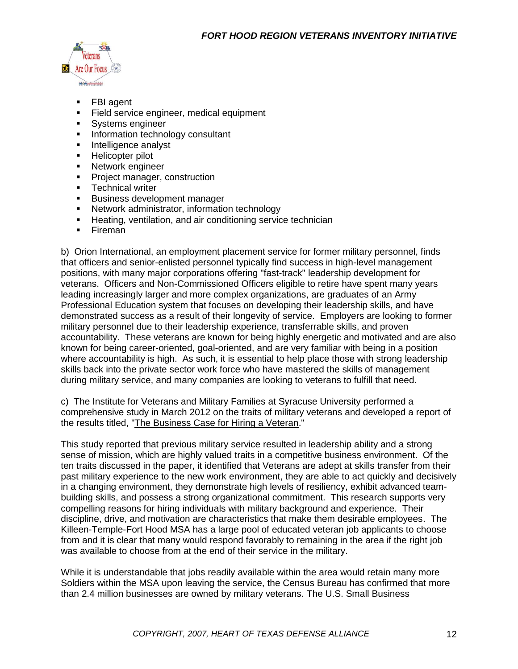

- FBI agent
- Field service engineer, medical equipment
- **Systems engineer**
- Information technology consultant
- **Intelligence analyst**
- **Helicopter pilot**
- **Network engineer**
- **Project manager, construction**
- **Technical writer**
- **Business development manager**
- Network administrator, information technology
- **Heating, ventilation, and air conditioning service technician**
- **Fireman**

b) Orion International, an employment placement service for former military personnel, finds that officers and senior-enlisted personnel typically find success in high-level management positions, with many major corporations offering "fast-track" leadership development for veterans. Officers and Non-Commissioned Officers eligible to retire have spent many years leading increasingly larger and more complex organizations, are graduates of an Army Professional Education system that focuses on developing their leadership skills, and have demonstrated success as a result of their longevity of service. Employers are looking to former military personnel due to their leadership experience, transferrable skills, and proven accountability. These veterans are known for being highly energetic and motivated and are also known for being career-oriented, goal-oriented, and are very familiar with being in a position where accountability is high. As such, it is essential to help place those with strong leadership skills back into the private sector work force who have mastered the skills of management during military service, and many companies are looking to veterans to fulfill that need.

c) The Institute for Veterans and Military Families at Syracuse University performed a comprehensive study in March 2012 on the traits of military veterans and developed a report of the results titled, ["The Business Case for Hiring a Veteran.](file:///C:/Users/LeeAnn/Documents/Veterans%20Inventory%20Initiative/1st%20Qtr%2016/The%20Business%20Case%20for%20Hiring%20a%20Veteran%203-6-12.pdf)"

This study reported that previous military service resulted in leadership ability and a strong sense of mission, which are highly valued traits in a competitive business environment. Of the ten traits discussed in the paper, it identified that Veterans are adept at skills transfer from their past military experience to the new work environment, they are able to act quickly and decisively in a changing environment, they demonstrate high levels of resiliency, exhibit advanced teambuilding skills, and possess a strong organizational commitment. This research supports very compelling reasons for hiring individuals with military background and experience. Their discipline, drive, and motivation are characteristics that make them desirable employees. The Killeen-Temple-Fort Hood MSA has a large pool of educated veteran job applicants to choose from and it is clear that many would respond favorably to remaining in the area if the right job was available to choose from at the end of their service in the military.

While it is understandable that jobs readily available within the area would retain many more Soldiers within the MSA upon leaving the service, the Census Bureau has confirmed that more than 2.4 million businesses are owned by military veterans. The U.S. Small Business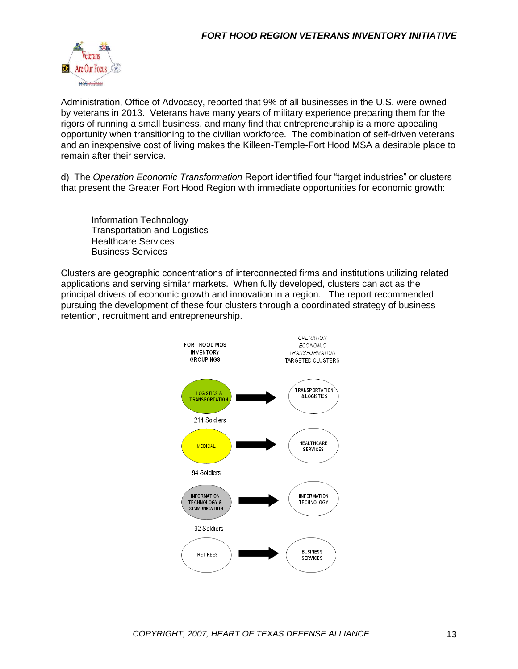

Administration, Office of Advocacy, reported that 9% of all businesses in the U.S. were owned by veterans in 2013. Veterans have many years of military experience preparing them for the rigors of running a small business, and many find that entrepreneurship is a more appealing opportunity when transitioning to the civilian workforce. The combination of self-driven veterans and an inexpensive cost of living makes the Killeen-Temple-Fort Hood MSA a desirable place to remain after their service.

d) The *Operation Economic Transformation* Report identified four "target industries" or clusters that present the Greater Fort Hood Region with immediate opportunities for economic growth:

Information Technology Transportation and Logistics Healthcare Services Business Services

Clusters are geographic concentrations of interconnected firms and institutions utilizing related applications and serving similar markets. When fully developed, clusters can act as the principal drivers of economic growth and innovation in a region. The report recommended pursuing the development of these four clusters through a coordinated strategy of business retention, recruitment and entrepreneurship.

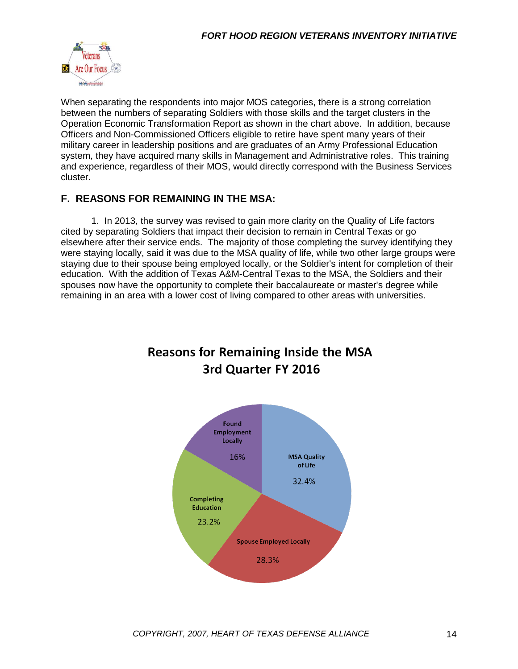

When separating the respondents into major MOS categories, there is a strong correlation between the numbers of separating Soldiers with those skills and the target clusters in the Operation Economic Transformation Report as shown in the chart above. In addition, because Officers and Non-Commissioned Officers eligible to retire have spent many years of their military career in leadership positions and are graduates of an Army Professional Education system, they have acquired many skills in Management and Administrative roles. This training and experience, regardless of their MOS, would directly correspond with the Business Services cluster.

#### **F. REASONS FOR REMAINING IN THE MSA:**

1. In 2013, the survey was revised to gain more clarity on the Quality of Life factors cited by separating Soldiers that impact their decision to remain in Central Texas or go elsewhere after their service ends. The majority of those completing the survey identifying they were staying locally, said it was due to the MSA quality of life, while two other large groups were staying due to their spouse being employed locally, or the Soldier's intent for completion of their education. With the addition of Texas A&M-Central Texas to the MSA, the Soldiers and their spouses now have the opportunity to complete their baccalaureate or master's degree while remaining in an area with a lower cost of living compared to other areas with universities.



# **Reasons for Remaining Inside the MSA** 3rd Quarter FY 2016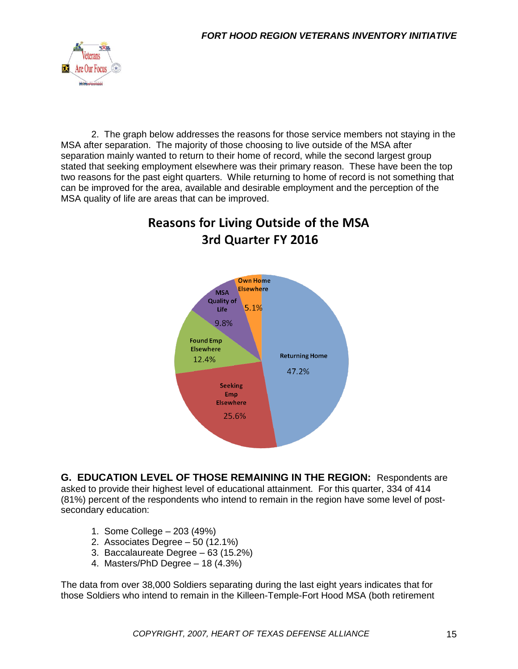

2. The graph below addresses the reasons for those service members not staying in the MSA after separation. The majority of those choosing to live outside of the MSA after separation mainly wanted to return to their home of record, while the second largest group stated that seeking employment elsewhere was their primary reason. These have been the top two reasons for the past eight quarters. While returning to home of record is not something that can be improved for the area, available and desirable employment and the perception of the MSA quality of life are areas that can be improved.





**G. EDUCATION LEVEL OF THOSE REMAINING IN THE REGION:** Respondents are asked to provide their highest level of educational attainment. For this quarter, 334 of 414 (81%) percent of the respondents who intend to remain in the region have some level of postsecondary education:

- 1. Some College 203 (49%)
- 2. Associates Degree 50 (12.1%)
- 3. Baccalaureate Degree 63 (15.2%)
- 4. Masters/PhD Degree 18 (4.3%)

The data from over 38,000 Soldiers separating during the last eight years indicates that for those Soldiers who intend to remain in the Killeen-Temple-Fort Hood MSA (both retirement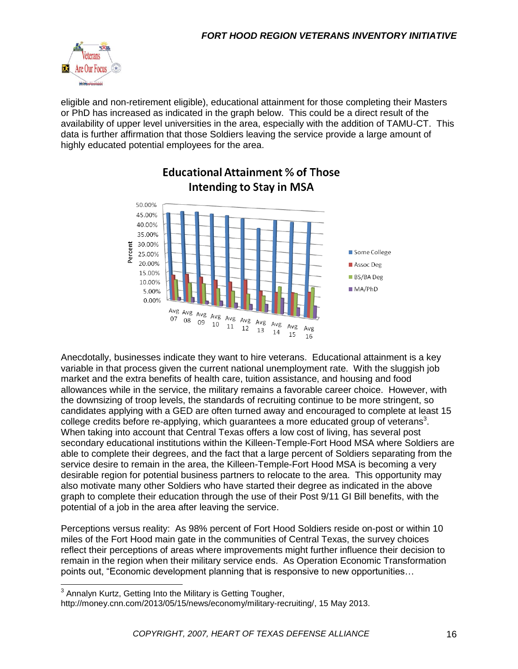

eligible and non-retirement eligible), educational attainment for those completing their Masters or PhD has increased as indicated in the graph below. This could be a direct result of the availability of upper level universities in the area, especially with the addition of TAMU-CT. This data is further affirmation that those Soldiers leaving the service provide a large amount of highly educated potential employees for the area.



# **Educational Attainment % of Those** Intending to Stay in MSA

Anecdotally, businesses indicate they want to hire veterans. Educational attainment is a key variable in that process given the current national unemployment rate. With the sluggish job market and the extra benefits of health care, tuition assistance, and housing and food allowances while in the service, the military remains a favorable career choice. However, with the downsizing of troop levels, the standards of recruiting continue to be more stringent, so candidates applying with a GED are often turned away and encouraged to complete at least 15 college credits before re-applying, which guarantees a more educated group of veterans<sup>3</sup>. When taking into account that Central Texas offers a low cost of living, has several post secondary educational institutions within the Killeen-Temple-Fort Hood MSA where Soldiers are able to complete their degrees, and the fact that a large percent of Soldiers separating from the service desire to remain in the area, the Killeen-Temple-Fort Hood MSA is becoming a very desirable region for potential business partners to relocate to the area. This opportunity may also motivate many other Soldiers who have started their degree as indicated in the above graph to complete their education through the use of their Post 9/11 GI Bill benefits, with the potential of a job in the area after leaving the service.

Perceptions versus reality: As 98% percent of Fort Hood Soldiers reside on-post or within 10 miles of the Fort Hood main gate in the communities of Central Texas, the survey choices reflect their perceptions of areas where improvements might further influence their decision to remain in the region when their military service ends. As Operation Economic Transformation points out, "Economic development planning that is responsive to new opportunities…

 3 Annalyn Kurtz, Getting Into the Military is Getting Tougher,

http://money.cnn.com/2013/05/15/news/economy/military-recruiting/, 15 May 2013.